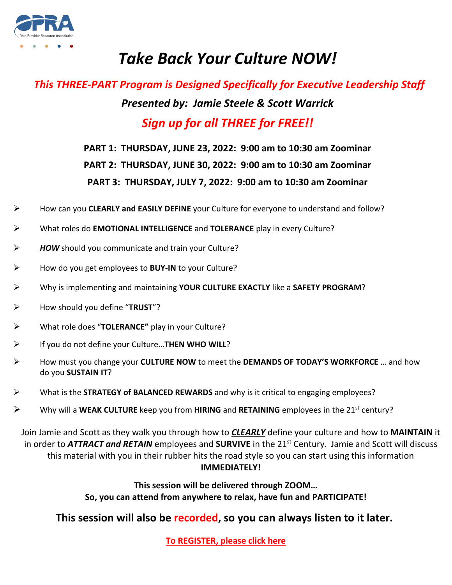

# *Take Back Your Culture NOW!*

## *This THREE-PART Program is Designed Specifically for Executive Leadership Staff Presented by: Jamie Steele & Scott Warrick Sign up for all THREE for FREE!!*

### **PART 1: THURSDAY, JUNE 23, 2022: 9:00 am to 10:30 am Zoominar PART 2: THURSDAY, JUNE 30, 2022: 9:00 am to 10:30 am Zoominar PART 3: THURSDAY, JULY 7, 2022: 9:00 am to 10:30 am Zoominar**

- How can you **CLEARLY and EASILY DEFINE** your Culture for everyone to understand and follow?
- What roles do **EMOTIONAL INTELLIGENCE** and **TOLERANCE** play in every Culture?
- *HOW* should you communicate and train your Culture?
- How do you get employees to **BUY-IN** to your Culture?
- Why is implementing and maintaining **YOUR CULTURE EXACTLY** like a **SAFETY PROGRAM**?
- How should you define "**TRUST**"?
- What role does "**TOLERANCE"** play in your Culture?
- If you do not define your Culture…**THEN WHO WILL**?
- How must you change your **CULTURE NOW** to meet the **DEMANDS OF TODAY'S WORKFORCE** … and how do you **SUSTAIN IT**?
- What is the **STRATEGY of BALANCED REWARDS** and why is it critical to engaging employees?
- Why will a **WEAK CULTURE** keep you from **HIRING** and **RETAINING** employees in the 21st century?

Join Jamie and Scott as they walk you through how to *CLEARLY* define your culture and how to **MAINTAIN** it in order to **ATTRACT and RETAIN** employees and **SURVIVE** in the 21<sup>st</sup> Century. Jamie and Scott will discuss this material with you in their rubber hits the road style so you can start using this information **IMMEDIATELY!**

> **This session will be delivered through ZOOM… So, you can attend from anywhere to relax, have fun and PARTICIPATE!**

**This session will also be recorded, so you can always listen to it later.**

**[To REGISTER, please click here](https://associationdatabase.com/aws/OPRA/input_form/display_form_01_show?form_no=51&host=retain&contact_id=$$Contact%20ID$$)**